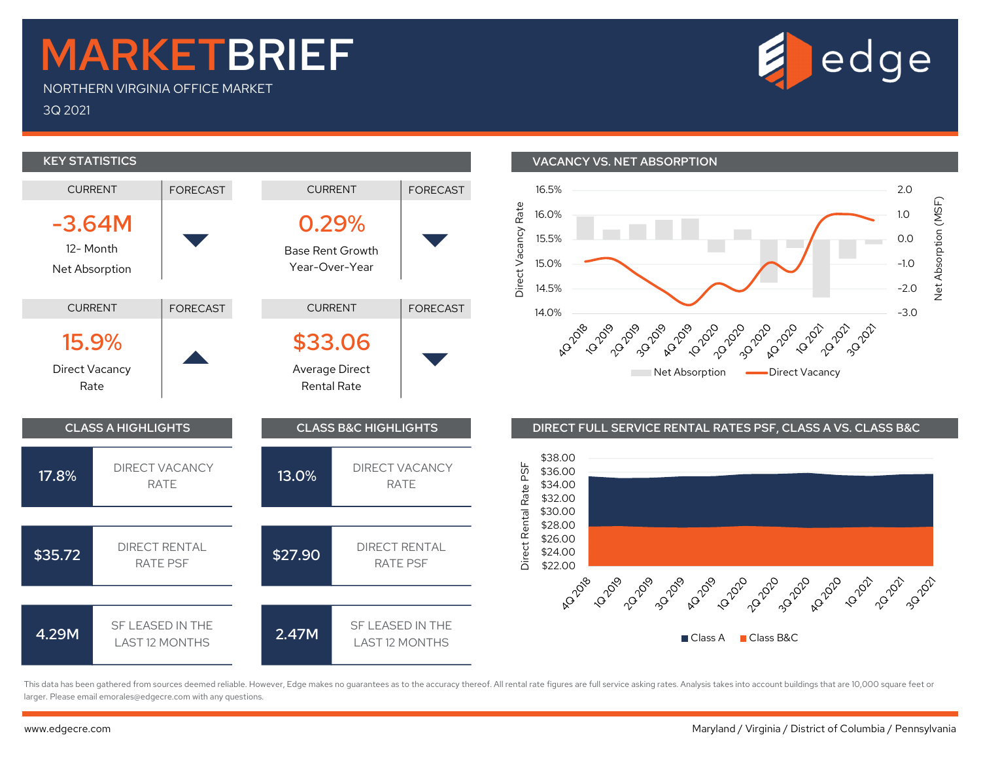## MARKETBRIEF

NORTHERN VIRGINIA OFFICE MARKET

3Q 2021



1.0  $\frac{67}{5}$ 

This data has been gathered from sources deemed reliable. However, Edge makes no guarantees as to the accuracy thereof. All rental rate figures are full service asking rates. Analysis takes into account buildings that are larger. Please email emorales@edgecre.com with any questions.